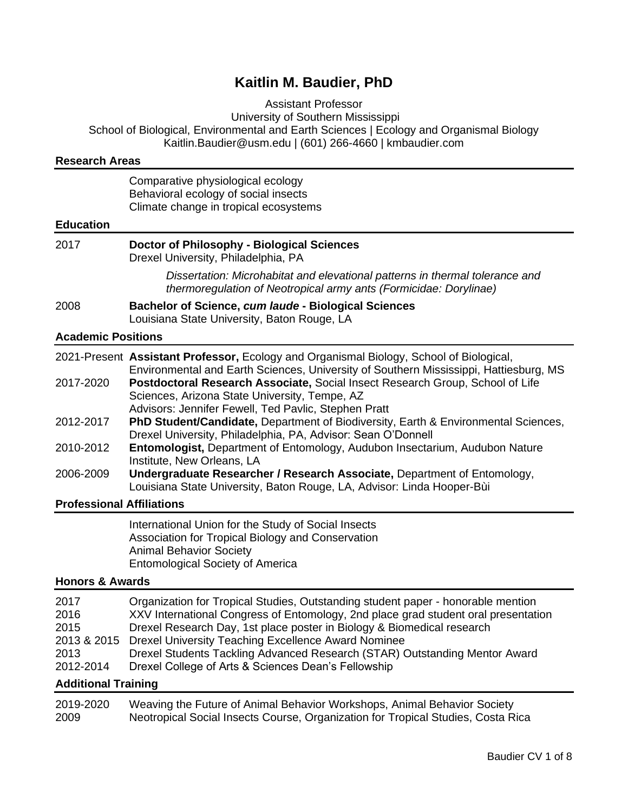# **Kaitlin M. Baudier, PhD**

Assistant Professor

University of Southern Mississippi

School of Biological, Environmental and Earth Sciences | Ecology and Organismal Biology Kaitlin.Baudier@usm.edu | (601) 266-4660 | kmbaudier.com

| <b>Research Areas</b>                                    |                                                                                                                                                                                                                                                                                                                                                                                                                                              |
|----------------------------------------------------------|----------------------------------------------------------------------------------------------------------------------------------------------------------------------------------------------------------------------------------------------------------------------------------------------------------------------------------------------------------------------------------------------------------------------------------------------|
|                                                          | Comparative physiological ecology<br>Behavioral ecology of social insects<br>Climate change in tropical ecosystems                                                                                                                                                                                                                                                                                                                           |
| <b>Education</b>                                         |                                                                                                                                                                                                                                                                                                                                                                                                                                              |
| 2017                                                     | <b>Doctor of Philosophy - Biological Sciences</b><br>Drexel University, Philadelphia, PA                                                                                                                                                                                                                                                                                                                                                     |
|                                                          | Dissertation: Microhabitat and elevational patterns in thermal tolerance and<br>thermoregulation of Neotropical army ants (Formicidae: Dorylinae)                                                                                                                                                                                                                                                                                            |
| 2008                                                     | Bachelor of Science, cum laude - Biological Sciences<br>Louisiana State University, Baton Rouge, LA                                                                                                                                                                                                                                                                                                                                          |
| <b>Academic Positions</b>                                |                                                                                                                                                                                                                                                                                                                                                                                                                                              |
|                                                          | 2021-Present Assistant Professor, Ecology and Organismal Biology, School of Biological,<br>Environmental and Earth Sciences, University of Southern Mississippi, Hattiesburg, MS                                                                                                                                                                                                                                                             |
| 2017-2020                                                | Postdoctoral Research Associate, Social Insect Research Group, School of Life<br>Sciences, Arizona State University, Tempe, AZ<br>Advisors: Jennifer Fewell, Ted Pavlic, Stephen Pratt                                                                                                                                                                                                                                                       |
| 2012-2017                                                | PhD Student/Candidate, Department of Biodiversity, Earth & Environmental Sciences,<br>Drexel University, Philadelphia, PA, Advisor: Sean O'Donnell                                                                                                                                                                                                                                                                                           |
| 2010-2012                                                | Entomologist, Department of Entomology, Audubon Insectarium, Audubon Nature<br>Institute, New Orleans, LA                                                                                                                                                                                                                                                                                                                                    |
| 2006-2009                                                | Undergraduate Researcher / Research Associate, Department of Entomology,<br>Louisiana State University, Baton Rouge, LA, Advisor: Linda Hooper-Bùi                                                                                                                                                                                                                                                                                           |
| <b>Professional Affiliations</b>                         |                                                                                                                                                                                                                                                                                                                                                                                                                                              |
|                                                          | International Union for the Study of Social Insects<br>Association for Tropical Biology and Conservation<br><b>Animal Behavior Society</b><br><b>Entomological Society of America</b>                                                                                                                                                                                                                                                        |
| <b>Honors &amp; Awards</b>                               |                                                                                                                                                                                                                                                                                                                                                                                                                                              |
| 2017<br>2016<br>2015<br>2013 & 2015<br>2013<br>2012-2014 | Organization for Tropical Studies, Outstanding student paper - honorable mention<br>XXV International Congress of Entomology, 2nd place grad student oral presentation<br>Drexel Research Day, 1st place poster in Biology & Biomedical research<br>Drexel University Teaching Excellence Award Nominee<br>Drexel Students Tackling Advanced Research (STAR) Outstanding Mentor Award<br>Drexel College of Arts & Sciences Dean's Fellowship |
| <b>Additional Training</b>                               | <u> 1989 - Andrea Andrew Maria (h. 1989).</u>                                                                                                                                                                                                                                                                                                                                                                                                |
|                                                          |                                                                                                                                                                                                                                                                                                                                                                                                                                              |

2019-2020 Weaving the Future of Animal Behavior Workshops, Animal Behavior Society 2009 Neotropical Social Insects Course, Organization for Tropical Studies, Costa Rica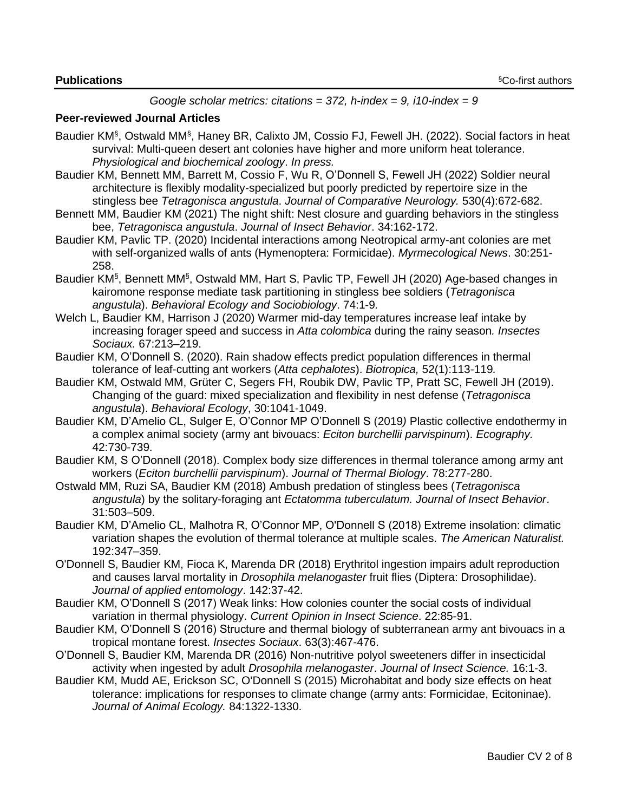#### *Google scholar metrics: citations = 372, h-index = 9, i10-index = 9*

#### **Peer-reviewed Journal Articles**

- Baudier KM<sup>§</sup>, Ostwald MM<sup>§</sup>, Haney BR, Calixto JM, Cossio FJ, Fewell JH. (2022). Social factors in heat survival: Multi-queen desert ant colonies have higher and more uniform heat tolerance. *Physiological and biochemical zoology*. *In press.*
- Baudier KM, Bennett MM, Barrett M, Cossio F, Wu R, O'Donnell S, Fewell JH (2022) Soldier neural architecture is flexibly modality-specialized but poorly predicted by repertoire size in the stingless bee *Tetragonisca angustula*. *Journal of Comparative Neurology.* 530(4):672-682.
- Bennett MM, Baudier KM (2021) The night shift: Nest closure and guarding behaviors in the stingless bee, *Tetragonisca angustula*. *Journal of Insect Behavior*. 34:162-172.
- Baudier KM, Pavlic TP. (2020) Incidental interactions among Neotropical army-ant colonies are met with self-organized walls of ants (Hymenoptera: Formicidae). *Myrmecological News*. 30:251- 258.
- Baudier KM§, Bennett MM§, Ostwald MM, Hart S, Pavlic TP, Fewell JH (2020) Age-based changes in kairomone response mediate task partitioning in stingless bee soldiers (*Tetragonisca angustula*). *Behavioral Ecology and Sociobiology*. 74:1-9*.*
- Welch L, Baudier KM, Harrison J (2020) Warmer mid-day temperatures increase leaf intake by increasing forager speed and success in *Atta colombica* during the rainy season*. Insectes Sociaux.* 67:213–219.
- Baudier KM, O'Donnell S. (2020). Rain shadow effects predict population differences in thermal tolerance of leaf-cutting ant workers (*Atta cephalotes*). *Biotropica,* 52(1):113-119*.*
- Baudier KM, Ostwald MM, Grüter C, Segers FH, Roubik DW, Pavlic TP, Pratt SC, Fewell JH (2019). Changing of the guard: mixed specialization and flexibility in nest defense (*Tetragonisca angustula*). *Behavioral Ecology*, 30:1041-1049.
- Baudier KM, D'Amelio CL, Sulger E, O'Connor MP O'Donnell S (2019*)* Plastic collective endothermy in a complex animal society (army ant bivouacs: *Eciton burchellii parvispinum*). *Ecography.*  42:730-739.
- Baudier KM, S O'Donnell (2018). Complex body size differences in thermal tolerance among army ant workers (*Eciton burchellii parvispinum*). *Journal of Thermal Biology*. 78:277-280.
- Ostwald MM, Ruzi SA, Baudier KM (2018) Ambush predation of stingless bees (*Tetragonisca angustula*) by the solitary-foraging ant *Ectatomma tuberculatum. Journal of Insect Behavior*. 31:503–509.
- Baudier KM, D'Amelio CL, Malhotra R, O'Connor MP, O'Donnell S (2018) Extreme insolation: climatic variation shapes the evolution of thermal tolerance at multiple scales. *The American Naturalist.* 192:347–359.
- O'Donnell S, Baudier KM, Fioca K, Marenda DR (2018) Erythritol ingestion impairs adult reproduction and causes larval mortality in *Drosophila melanogaster* fruit flies (Diptera: Drosophilidae). *Journal of applied entomology*. 142:37-42.
- Baudier KM, O'Donnell S (2017) Weak links: How colonies counter the social costs of individual variation in thermal physiology. *Current Opinion in Insect Science*. 22:85-91.
- Baudier KM, O'Donnell S (2016) Structure and thermal biology of subterranean army ant bivouacs in a tropical montane forest. *Insectes Sociaux*. 63(3):467-476.
- O'Donnell S, Baudier KM, Marenda DR (2016) Non-nutritive polyol sweeteners differ in insecticidal activity when ingested by adult *Drosophila melanogaster*. *Journal of Insect Science.* 16:1-3.
- Baudier KM, Mudd AE, Erickson SC, O'Donnell S (2015) Microhabitat and body size effects on heat tolerance: implications for responses to climate change (army ants: Formicidae, Ecitoninae). *Journal of Animal Ecology.* 84:1322-1330.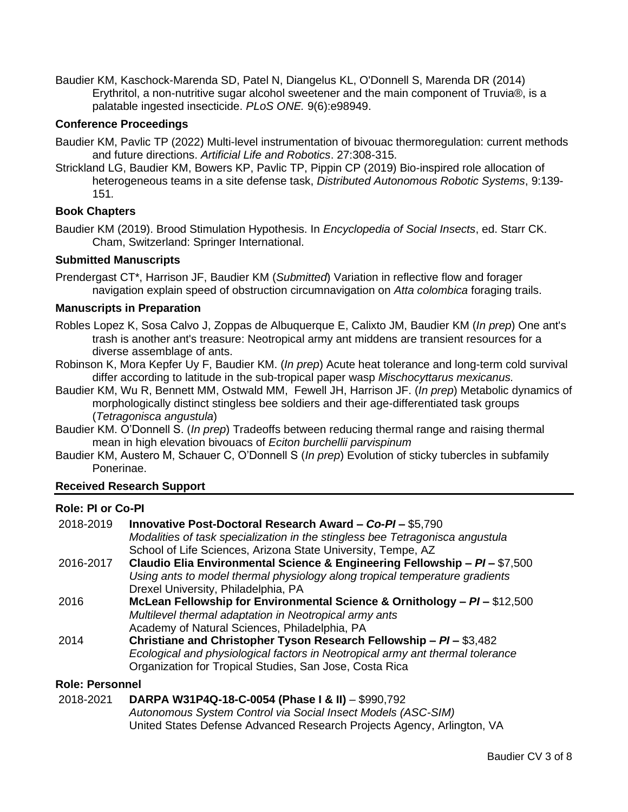Baudier KM, Kaschock-Marenda SD, Patel N, Diangelus KL, O'Donnell S, Marenda DR (2014) Erythritol, a non-nutritive sugar alcohol sweetener and the main component of Truvia®, is a palatable ingested insecticide. *PLoS ONE.* 9(6):e98949.

## **Conference Proceedings**

- Baudier KM, Pavlic TP (2022) Multi-level instrumentation of bivouac thermoregulation: current methods and future directions. *Artificial Life and Robotics*. 27:308-315.
- Strickland LG, Baudier KM, Bowers KP, Pavlic TP, Pippin CP (2019) Bio-inspired role allocation of heterogeneous teams in a site defense task, *Distributed Autonomous Robotic Systems*, 9:139- 151*.*

## **Book Chapters**

Baudier KM (2019). Brood Stimulation Hypothesis. In *Encyclopedia of Social Insects*, ed. Starr CK. Cham, Switzerland: Springer International.

### **Submitted Manuscripts**

Prendergast CT\*, Harrison JF, Baudier KM (*Submitted*) Variation in reflective flow and forager navigation explain speed of obstruction circumnavigation on *Atta colombica* foraging trails.

#### **Manuscripts in Preparation**

- Robles Lopez K, Sosa Calvo J, Zoppas de Albuquerque E, Calixto JM, Baudier KM (*In prep*) One ant's trash is another ant's treasure: Neotropical army ant middens are transient resources for a diverse assemblage of ants.
- Robinson K, Mora Kepfer Uy F, Baudier KM. (*In prep*) Acute heat tolerance and long-term cold survival differ according to latitude in the sub-tropical paper wasp *Mischocyttarus mexicanus.*
- Baudier KM, Wu R, Bennett MM, Ostwald MM, Fewell JH, Harrison JF. (*In prep*) Metabolic dynamics of morphologically distinct stingless bee soldiers and their age-differentiated task groups (*Tetragonisca angustula*)
- Baudier KM. O'Donnell S. (*In prep*) Tradeoffs between reducing thermal range and raising thermal mean in high elevation bivouacs of *Eciton burchellii parvispinum*
- Baudier KM, Austero M, Schauer C, O'Donnell S (*In prep*) Evolution of sticky tubercles in subfamily Ponerinae.

### **Received Research Support**

## **Role: PI or Co-PI**

| 2018-2019 | Innovative Post-Doctoral Research Award - Co-PI - \$5,790                      |
|-----------|--------------------------------------------------------------------------------|
|           | Modalities of task specialization in the stingless bee Tetragonisca angustula  |
|           | School of Life Sciences, Arizona State University, Tempe, AZ                   |
| 2016-2017 | Claudio Elia Environmental Science & Engineering Fellowship - PI - \$7,500     |
|           | Using ants to model thermal physiology along tropical temperature gradients    |
|           | Drexel University, Philadelphia, PA                                            |
| 2016      | McLean Fellowship for Environmental Science & Ornithology – $PI - $12,500$     |
|           | Multilevel thermal adaptation in Neotropical army ants                         |
|           | Academy of Natural Sciences, Philadelphia, PA                                  |
| 2014      | Christiane and Christopher Tyson Research Fellowship - PI - \$3,482            |
|           | Ecological and physiological factors in Neotropical army ant thermal tolerance |
|           | Organization for Tropical Studies, San Jose, Costa Rica                        |

### **Role: Personnel**

## 2018-2021 **DARPA W31P4Q-18-C-0054 (Phase I & II)** – \$990,792 *Autonomous System Control via Social Insect Models (ASC-SIM)* United States Defense Advanced Research Projects Agency, Arlington, VA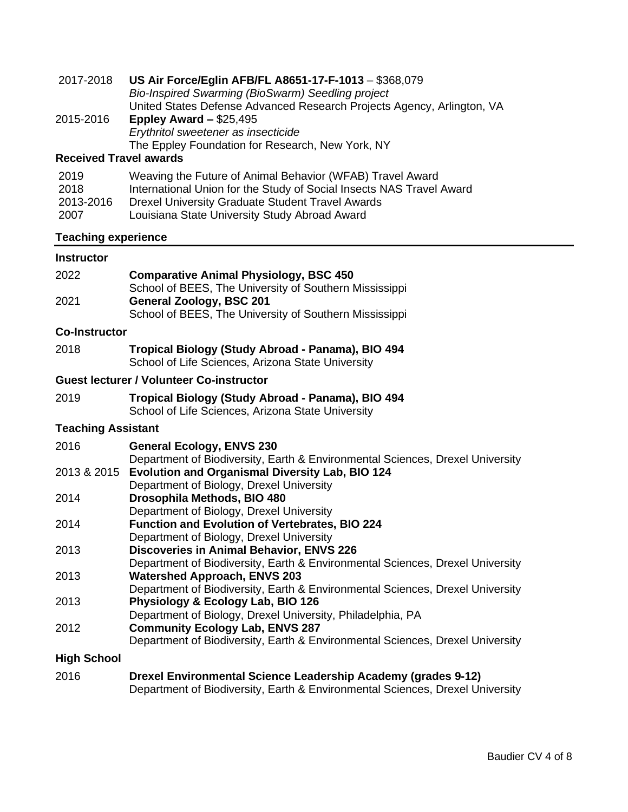| 2017-2018                         | US Air Force/Eglin AFB/FL A8651-17-F-1013 - \$368,079<br>Bio-Inspired Swarming (BioSwarm) Seedling project<br>United States Defense Advanced Research Projects Agency, Arlington, VA                                                          |  |
|-----------------------------------|-----------------------------------------------------------------------------------------------------------------------------------------------------------------------------------------------------------------------------------------------|--|
| 2015-2016                         | Eppley Award $-$ \$25,495<br>Erythritol sweetener as insecticide<br>The Eppley Foundation for Research, New York, NY                                                                                                                          |  |
| <b>Received Travel awards</b>     |                                                                                                                                                                                                                                               |  |
| 2019<br>2018<br>2013-2016<br>2007 | Weaving the Future of Animal Behavior (WFAB) Travel Award<br>International Union for the Study of Social Insects NAS Travel Award<br><b>Drexel University Graduate Student Travel Awards</b><br>Louisiana State University Study Abroad Award |  |
| <b>Teaching experience</b>        |                                                                                                                                                                                                                                               |  |
| <b>Instructor</b>                 |                                                                                                                                                                                                                                               |  |
| 2022                              | <b>Comparative Animal Physiology, BSC 450</b><br>School of BEES, The University of Southern Mississippi                                                                                                                                       |  |
| 2021                              | <b>General Zoology, BSC 201</b><br>School of BEES, The University of Southern Mississippi                                                                                                                                                     |  |
| <b>Co-Instructor</b>              |                                                                                                                                                                                                                                               |  |
| 2018                              | Tropical Biology (Study Abroad - Panama), BIO 494<br>School of Life Sciences, Arizona State University                                                                                                                                        |  |
|                                   | <b>Guest lecturer / Volunteer Co-instructor</b>                                                                                                                                                                                               |  |
| 2019                              | Tropical Biology (Study Abroad - Panama), BIO 494<br>School of Life Sciences, Arizona State University                                                                                                                                        |  |
| Togobina Accictont                |                                                                                                                                                                                                                                               |  |

### **Teaching Assistant**

| 2016 | <b>General Ecology, ENVS 230</b>                                              |
|------|-------------------------------------------------------------------------------|
|      | Department of Biodiversity, Earth & Environmental Sciences, Drexel University |
|      | 2013 & 2015 Evolution and Organismal Diversity Lab, BIO 124                   |
|      | Department of Biology, Drexel University                                      |
| 2014 | Drosophila Methods, BIO 480                                                   |
|      | Department of Biology, Drexel University                                      |
| 2014 | <b>Function and Evolution of Vertebrates, BIO 224</b>                         |
|      | Department of Diology Drovel University                                       |

- Department of Biology, Drexel University
- 2013 **Discoveries in Animal Behavior, ENVS 226**
- Department of Biodiversity, Earth & Environmental Sciences, Drexel University 2013 **Watershed Approach, ENVS 203**
- Department of Biodiversity, Earth & Environmental Sciences, Drexel University 2013 **Physiology & Ecology Lab, BIO 126**
- Department of Biology, Drexel University, Philadelphia, PA
- 2012 **Community Ecology Lab, ENVS 287**
- Department of Biodiversity, Earth & Environmental Sciences, Drexel University

## **High School**

2016 **Drexel Environmental Science Leadership Academy (grades 9-12)** Department of Biodiversity, Earth & Environmental Sciences, Drexel University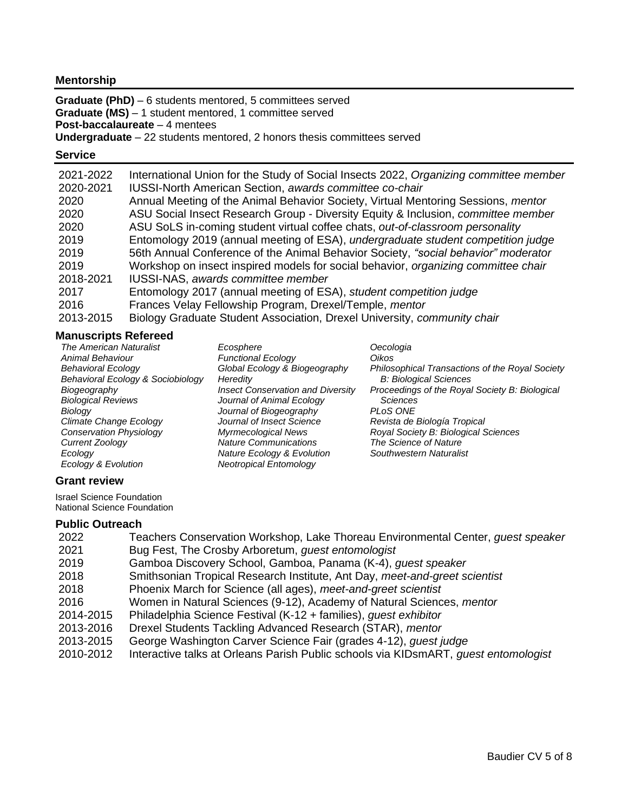## **Mentorship**

**Graduate (PhD)** – 6 students mentored, 5 committees served **Graduate (MS)** – 1 student mentored, 1 committee served **Post-baccalaureate** – 4 mentees

## **Undergraduate** – 22 students mentored, 2 honors thesis committees served

#### **Service**

| 2021-2022 | International Union for the Study of Social Insects 2022, Organizing committee member    |
|-----------|------------------------------------------------------------------------------------------|
| 2020-2021 | <b>IUSSI-North American Section, awards committee co-chair</b>                           |
| 2020      | Annual Meeting of the Animal Behavior Society, Virtual Mentoring Sessions, mentor        |
| 2020      | ASU Social Insect Research Group - Diversity Equity & Inclusion, <i>committee member</i> |
| 2020      | ASU SoLS in-coming student virtual coffee chats, out-of-classroom personality            |
| 2019      | Entomology 2019 (annual meeting of ESA), undergraduate student competition judge         |
| 2019      | 56th Annual Conference of the Animal Behavior Society, "social behavior" moderator       |
| 2019      | Workshop on insect inspired models for social behavior, organizing committee chair       |
| 2018-2021 | <b>IUSSI-NAS, awards committee member</b>                                                |
| 2017      | Entomology 2017 (annual meeting of ESA), student competition judge                       |
| 2016      | Frances Velay Fellowship Program, Drexel/Temple, mentor                                  |
| 2013-2015 | Biology Graduate Student Association, Drexel University, <i>community chair</i>          |

## **Manuscripts Refereed**

| <b>The American Naturalist</b>    | Ecosphere                                | Oecologia                                       |
|-----------------------------------|------------------------------------------|-------------------------------------------------|
| Animal Behaviour                  | <b>Functional Ecology</b>                | Oikos                                           |
| <b>Behavioral Ecology</b>         | Global Ecology & Biogeography            | Philosophical Transactions of the Royal Society |
| Behavioral Ecology & Sociobiology | Heredity                                 | <b>B: Biological Sciences</b>                   |
| Biogeography                      | <b>Insect Conservation and Diversity</b> | Proceedings of the Royal Society B: Biological  |
| <b>Biological Reviews</b>         | Journal of Animal Ecology                | <b>Sciences</b>                                 |
| Biology                           | Journal of Biogeography                  | PLOS ONE                                        |
| Climate Change Ecology            | Journal of Insect Science                | Revista de Biología Tropical                    |
| <b>Conservation Physiology</b>    | <b>Myrmecological News</b>               | Royal Society B: Biological Sciences            |
| Current Zoology                   | <b>Nature Communications</b>             | The Science of Nature                           |
| Ecology                           | <b>Nature Ecology &amp; Evolution</b>    | Southwestern Naturalist                         |
| Ecology & Evolution               | <b>Neotropical Entomology</b>            |                                                 |
|                                   |                                          |                                                 |

## **Grant review**

Israel Science Foundation National Science Foundation

## **Public Outreach**

| 2022      | Teachers Conservation Workshop, Lake Thoreau Environmental Center, <i>quest speaker</i> |
|-----------|-----------------------------------------------------------------------------------------|
| 2021      | Bug Fest, The Crosby Arboretum, guest entomologist                                      |
| 2019      | Gamboa Discovery School, Gamboa, Panama (K-4), guest speaker                            |
| 2018      | Smithsonian Tropical Research Institute, Ant Day, meet-and-greet scientist              |
| 2018      | Phoenix March for Science (all ages), meet-and-greet scientist                          |
| 2016      | Women in Natural Sciences (9-12), Academy of Natural Sciences, mentor                   |
| 2014-2015 | Philadelphia Science Festival (K-12 + families), <i>guest exhibitor</i>                 |
| 2013-2016 | Drexel Students Tackling Advanced Research (STAR), mentor                               |
| 2013-2015 | George Washington Carver Science Fair (grades 4-12), <i>guest judge</i>                 |
| 2010-2012 | Interactive talks at Orleans Parish Public schools via KIDsmART, quest entomologist     |
|           |                                                                                         |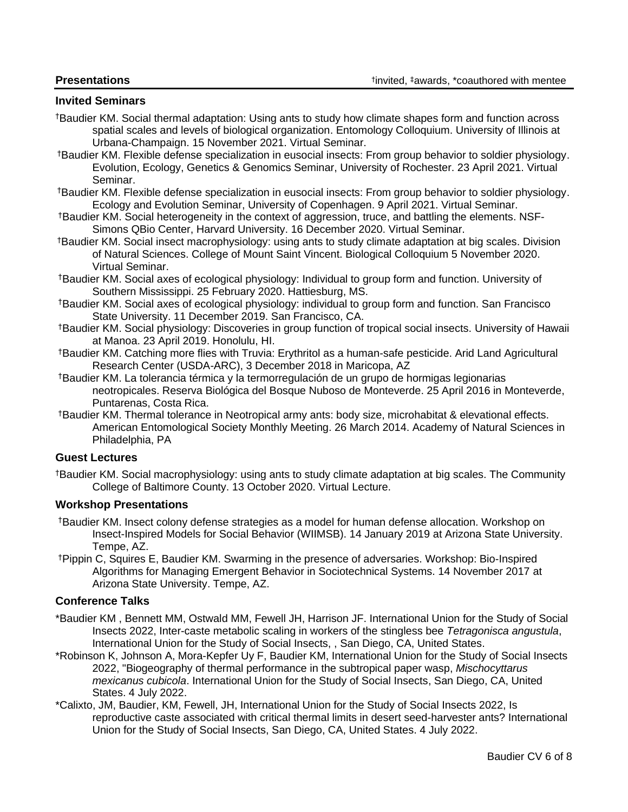## **Invited Seminars**

- †Baudier KM. Social thermal adaptation: Using ants to study how climate shapes form and function across spatial scales and levels of biological organization. Entomology Colloquium. University of Illinois at Urbana-Champaign. 15 November 2021. Virtual Seminar.
- †Baudier KM. Flexible defense specialization in eusocial insects: From group behavior to soldier physiology. Evolution, Ecology, Genetics & Genomics Seminar, University of Rochester. 23 April 2021. Virtual Seminar.
- †Baudier KM. Flexible defense specialization in eusocial insects: From group behavior to soldier physiology. Ecology and Evolution Seminar, University of Copenhagen. 9 April 2021. Virtual Seminar.
- †Baudier KM. Social heterogeneity in the context of aggression, truce, and battling the elements. NSF-Simons QBio Center, Harvard University. 16 December 2020. Virtual Seminar.
- †Baudier KM. Social insect macrophysiology: using ants to study climate adaptation at big scales. Division of Natural Sciences. College of Mount Saint Vincent. Biological Colloquium 5 November 2020. Virtual Seminar.
- †Baudier KM. Social axes of ecological physiology: Individual to group form and function. University of Southern Mississippi. 25 February 2020. Hattiesburg, MS.
- †Baudier KM. Social axes of ecological physiology: individual to group form and function. San Francisco State University. 11 December 2019. San Francisco, CA.
- †Baudier KM. Social physiology: Discoveries in group function of tropical social insects. University of Hawaii at Manoa. 23 April 2019. Honolulu, HI.
- †Baudier KM. Catching more flies with Truvia: Erythritol as a human-safe pesticide. Arid Land Agricultural Research Center (USDA-ARC), 3 December 2018 in Maricopa, AZ
- †Baudier KM. La tolerancia térmica y la termorregulación de un grupo de hormigas legionarias neotropicales. Reserva Biológica del Bosque Nuboso de Monteverde. 25 April 2016 in Monteverde, Puntarenas, Costa Rica.
- †Baudier KM. Thermal tolerance in Neotropical army ants: body size, microhabitat & elevational effects. American Entomological Society Monthly Meeting. 26 March 2014. Academy of Natural Sciences in Philadelphia, PA

### **Guest Lectures**

†Baudier KM. Social macrophysiology: using ants to study climate adaptation at big scales. The Community College of Baltimore County. 13 October 2020. Virtual Lecture.

## **Workshop Presentations**

- †Baudier KM. Insect colony defense strategies as a model for human defense allocation. Workshop on Insect-Inspired Models for Social Behavior (WIIMSB). 14 January 2019 at Arizona State University. Tempe, AZ.
- †Pippin C, Squires E, Baudier KM. Swarming in the presence of adversaries. Workshop: Bio-Inspired Algorithms for Managing Emergent Behavior in Sociotechnical Systems. 14 November 2017 at Arizona State University. Tempe, AZ.

## **Conference Talks**

- \*Baudier KM , Bennett MM, Ostwald MM, Fewell JH, Harrison JF. International Union for the Study of Social Insects 2022, Inter-caste metabolic scaling in workers of the stingless bee *Tetragonisca angustula*, International Union for the Study of Social Insects, , San Diego, CA, United States.
- \*Robinson K, Johnson A, Mora-Kepfer Uy F, Baudier KM, International Union for the Study of Social Insects 2022, "Biogeography of thermal performance in the subtropical paper wasp, *Mischocyttarus mexicanus cubicola*. International Union for the Study of Social Insects, San Diego, CA, United States. 4 July 2022.
- \*Calixto, JM, Baudier, KM, Fewell, JH, International Union for the Study of Social Insects 2022, Is reproductive caste associated with critical thermal limits in desert seed-harvester ants? International Union for the Study of Social Insects, San Diego, CA, United States. 4 July 2022.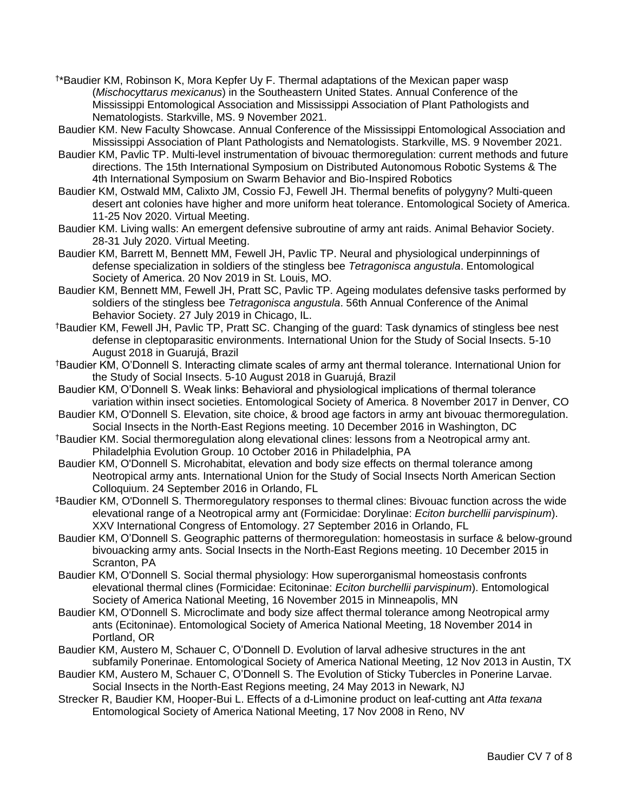- † \*Baudier KM, Robinson K, Mora Kepfer Uy F. Thermal adaptations of the Mexican paper wasp (*Mischocyttarus mexicanus*) in the Southeastern United States. Annual Conference of the Mississippi Entomological Association and Mississippi Association of Plant Pathologists and Nematologists. Starkville, MS. 9 November 2021.
- Baudier KM. New Faculty Showcase. Annual Conference of the Mississippi Entomological Association and Mississippi Association of Plant Pathologists and Nematologists. Starkville, MS. 9 November 2021.
- Baudier KM, Pavlic TP. Multi-level instrumentation of bivouac thermoregulation: current methods and future directions. The 15th International Symposium on Distributed Autonomous Robotic Systems & The 4th International Symposium on Swarm Behavior and Bio-Inspired Robotics
- Baudier KM, Ostwald MM, Calixto JM, Cossio FJ, Fewell JH. Thermal benefits of polygyny? Multi-queen desert ant colonies have higher and more uniform heat tolerance. Entomological Society of America. 11-25 Nov 2020. Virtual Meeting.
- Baudier KM. Living walls: An emergent defensive subroutine of army ant raids. Animal Behavior Society. 28-31 July 2020. Virtual Meeting.
- Baudier KM, Barrett M, Bennett MM, Fewell JH, Pavlic TP. Neural and physiological underpinnings of defense specialization in soldiers of the stingless bee *Tetragonisca angustula*. Entomological Society of America. 20 Nov 2019 in St. Louis, MO.
- Baudier KM, Bennett MM, Fewell JH, Pratt SC, Pavlic TP. Ageing modulates defensive tasks performed by soldiers of the stingless bee *Tetragonisca angustula*. 56th Annual Conference of the Animal Behavior Society. 27 July 2019 in Chicago, IL.
- †Baudier KM, Fewell JH, Pavlic TP, Pratt SC. Changing of the guard: Task dynamics of stingless bee nest defense in cleptoparasitic environments. International Union for the Study of Social Insects. 5-10 August 2018 in Guarujá, Brazil
- †Baudier KM, O'Donnell S. Interacting climate scales of army ant thermal tolerance. International Union for the Study of Social Insects. 5-10 August 2018 in Guarujá, Brazil
- Baudier KM, O'Donnell S. Weak links: Behavioral and physiological implications of thermal tolerance variation within insect societies. Entomological Society of America. 8 November 2017 in Denver, CO
- Baudier KM, O'Donnell S. Elevation, site choice, & brood age factors in army ant bivouac thermoregulation. Social Insects in the North-East Regions meeting. 10 December 2016 in Washington, DC
- †Baudier KM. Social thermoregulation along elevational clines: lessons from a Neotropical army ant. Philadelphia Evolution Group. 10 October 2016 in Philadelphia, PA
- Baudier KM, O'Donnell S. Microhabitat, elevation and body size effects on thermal tolerance among Neotropical army ants. International Union for the Study of Social Insects North American Section Colloquium. 24 September 2016 in Orlando, FL
- ‡Baudier KM, O'Donnell S. Thermoregulatory responses to thermal clines: Bivouac function across the wide elevational range of a Neotropical army ant (Formicidae: Dorylinae: *Eciton burchellii parvispinum*). XXV International Congress of Entomology. 27 September 2016 in Orlando, FL
- Baudier KM, O'Donnell S. Geographic patterns of thermoregulation: homeostasis in surface & below-ground bivouacking army ants. Social Insects in the North-East Regions meeting. 10 December 2015 in Scranton, PA
- Baudier KM, O'Donnell S. Social thermal physiology: How superorganismal homeostasis confronts elevational thermal clines (Formicidae: Ecitoninae: *Eciton burchellii parvispinum*). Entomological Society of America National Meeting, 16 November 2015 in Minneapolis, MN
- Baudier KM, O'Donnell S. Microclimate and body size affect thermal tolerance among Neotropical army ants (Ecitoninae). Entomological Society of America National Meeting, 18 November 2014 in Portland, OR
- Baudier KM, Austero M, Schauer C, O'Donnell D. Evolution of larval adhesive structures in the ant subfamily Ponerinae. Entomological Society of America National Meeting, 12 Nov 2013 in Austin, TX
- Baudier KM, Austero M, Schauer C, O'Donnell S. The Evolution of Sticky Tubercles in Ponerine Larvae. Social Insects in the North-East Regions meeting, 24 May 2013 in Newark, NJ
- Strecker R, Baudier KM, Hooper-Bui L. Effects of a d-Limonine product on leaf-cutting ant *Atta texana* Entomological Society of America National Meeting, 17 Nov 2008 in Reno, NV